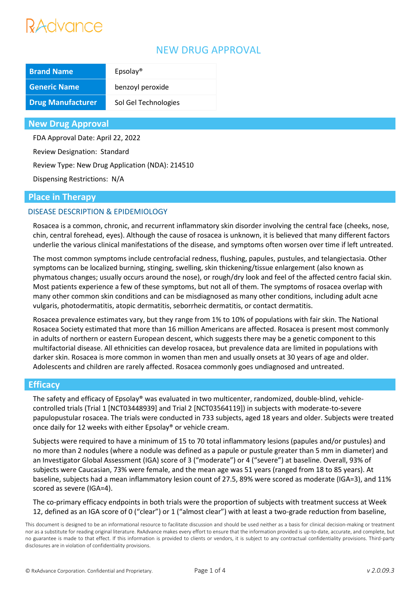## Advance

### NEW DRUG APPROVAL

| <b>Brand Name</b>        | Epsilon              |
|--------------------------|----------------------|
| <b>Generic Name</b>      | benzoyl peroxide     |
| <b>Drug Manufacturer</b> | Sol Gel Technologies |

#### **New Drug Approval**

FDA Approval Date: April 22, 2022

Review Designation: Standard

Review Type: New Drug Application (NDA): 214510

Dispensing Restrictions: N/A

#### **Place in Therapy**

#### DISEASE DESCRIPTION & EPIDEMIOLOGY

Rosacea is a common, chronic, and recurrent inflammatory skin disorder involving the central face (cheeks, nose, chin, central forehead, eyes). Although the cause of rosacea is unknown, it is believed that many different factors underlie the various clinical manifestations of the disease, and symptoms often worsen over time if left untreated.

The most common symptoms include centrofacial redness, flushing, papules, pustules, and telangiectasia. Other symptoms can be localized burning, stinging, swelling, skin thickening/tissue enlargement (also known as phymatous changes; usually occurs around the nose), or rough/dry look and feel of the affected centro facial skin. Most patients experience a few of these symptoms, but not all of them. The symptoms of rosacea overlap with many other common skin conditions and can be misdiagnosed as many other conditions, including adult acne vulgaris, photodermatitis, atopic dermatitis, seborrheic dermatitis, or contact dermatitis.

Rosacea prevalence estimates vary, but they range from 1% to 10% of populations with fair skin. The National Rosacea Society estimated that more than 16 million Americans are affected. Rosacea is present most commonly in adults of northern or eastern European descent, which suggests there may be a genetic component to this multifactorial disease. All ethnicities can develop rosacea, but prevalence data are limited in populations with darker skin. Rosacea is more common in women than men and usually onsets at 30 years of age and older. Adolescents and children are rarely affected. Rosacea commonly goes undiagnosed and untreated.

#### **Efficacy**

The safety and efficacy of Epsolay® was evaluated in two multicenter, randomized, double-blind, vehiclecontrolled trials (Trial 1 [NCT03448939] and Trial 2 [NCT03564119]) in subjects with moderate-to-severe papulopustular rosacea. The trials were conducted in 733 subjects, aged 18 years and older. Subjects were treated once daily for 12 weeks with either Epsolay® or vehicle cream.

Subjects were required to have a minimum of 15 to 70 total inflammatory lesions (papules and/or pustules) and no more than 2 nodules (where a nodule was defined as a papule or pustule greater than 5 mm in diameter) and an Investigator Global Assessment (IGA) score of 3 ("moderate") or 4 ("severe") at baseline. Overall, 93% of subjects were Caucasian, 73% were female, and the mean age was 51 years (ranged from 18 to 85 years). At baseline, subjects had a mean inflammatory lesion count of 27.5, 89% were scored as moderate (IGA=3), and 11% scored as severe (IGA=4).

The co-primary efficacy endpoints in both trials were the proportion of subjects with treatment success at Week 12, defined as an IGA score of 0 ("clear") or 1 ("almost clear") with at least a two-grade reduction from baseline,

This document is designed to be an informational resource to facilitate discussion and should be used neither as a basis for clinical decision-making or treatment nor as a substitute for reading original literature. RxAdvance makes every effort to ensure that the information provided is up-to-date, accurate, and complete, but no guarantee is made to that effect. If this information is provided to clients or vendors, it is subject to any contractual confidentiality provisions. Third-party disclosures are in violation of confidentiality provisions.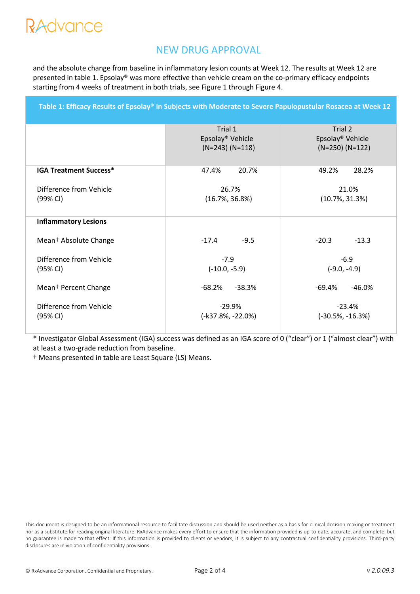## RAdvance

### NEW DRUG APPROVAL

and the absolute change from baseline in inflammatory lesion counts at Week 12. The results at Week 12 are presented in table 1. Epsolay® was more effective than vehicle cream on the co-primary efficacy endpoints starting from 4 weeks of treatment in both trials, see Figure 1 through Figure 4.

**Table 1: Efficacy Results of Epsolay® in Subjects with Moderate to Severe Papulopustular Rosacea at Week 12** 

Trial 1 Epsolay® Vehicle (N=243) (N=118) Trial 2 Epsolay® Vehicle (N=250) (N=122) **IGA Treatment Success\*** Difference from Vehicle (99% CI) 47.4% 20.7% 26.7% (16.7%, 36.8%) 49.2% 28.2% 21.0% (10.7%, 31.3%) **Inflammatory Lesions** Mean† Absolute Change Difference from Vehicle (95% CI) Mean† Percent Change Difference from Vehicle (95% CI)  $-17.4$   $-9.5$ -7.9 (-10.0, -5.9) -68.2% -38.3% -29.9% (-k37.8%, -22.0%)  $-20.3$   $-13.3$ -6.9 (-9.0, -4.9) -69.4% -46.0% -23.4% (-30.5%, -16.3%)

\* Investigator Global Assessment (IGA) success was defined as an IGA score of 0 ("clear") or 1 ("almost clear") with at least a two-grade reduction from baseline.

† Means presented in table are Least Square (LS) Means.

This document is designed to be an informational resource to facilitate discussion and should be used neither as a basis for clinical decision-making or treatment nor as a substitute for reading original literature. RxAdvance makes every effort to ensure that the information provided is up-to-date, accurate, and complete, but no guarantee is made to that effect. If this information is provided to clients or vendors, it is subject to any contractual confidentiality provisions. Third-party disclosures are in violation of confidentiality provisions.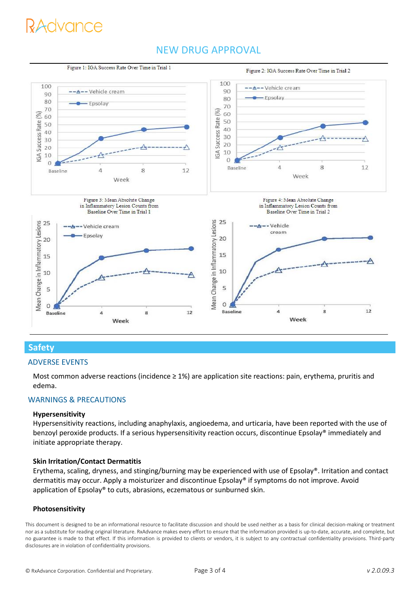# *Advance*

## NEW DRUG APPROVAL



### **Safety**

#### ADVERSE EVENTS

Most common adverse reactions (incidence  $\geq 1\%$ ) are application site reactions: pain, erythema, pruritis and edema.

#### WARNINGS & PRECAUTIONS

#### **Hypersensitivity**

Hypersensitivity reactions, including anaphylaxis, angioedema, and urticaria, have been reported with the use of benzoyl peroxide products. If a serious hypersensitivity reaction occurs, discontinue Epsolay® immediately and initiate appropriate therapy.

#### **Skin Irritation/Contact Dermatitis**

Erythema, scaling, dryness, and stinging/burning may be experienced with use of Epsolay®. Irritation and contact dermatitis may occur. Apply a moisturizer and discontinue Epsolay® if symptoms do not improve. Avoid application of Epsolay® to cuts, abrasions, eczematous or sunburned skin.

#### **Photosensitivity**

This document is designed to be an informational resource to facilitate discussion and should be used neither as a basis for clinical decision-making or treatment nor as a substitute for reading original literature. RxAdvance makes every effort to ensure that the information provided is up-to-date, accurate, and complete, but no guarantee is made to that effect. If this information is provided to clients or vendors, it is subject to any contractual confidentiality provisions. Third-party disclosures are in violation of confidentiality provisions.